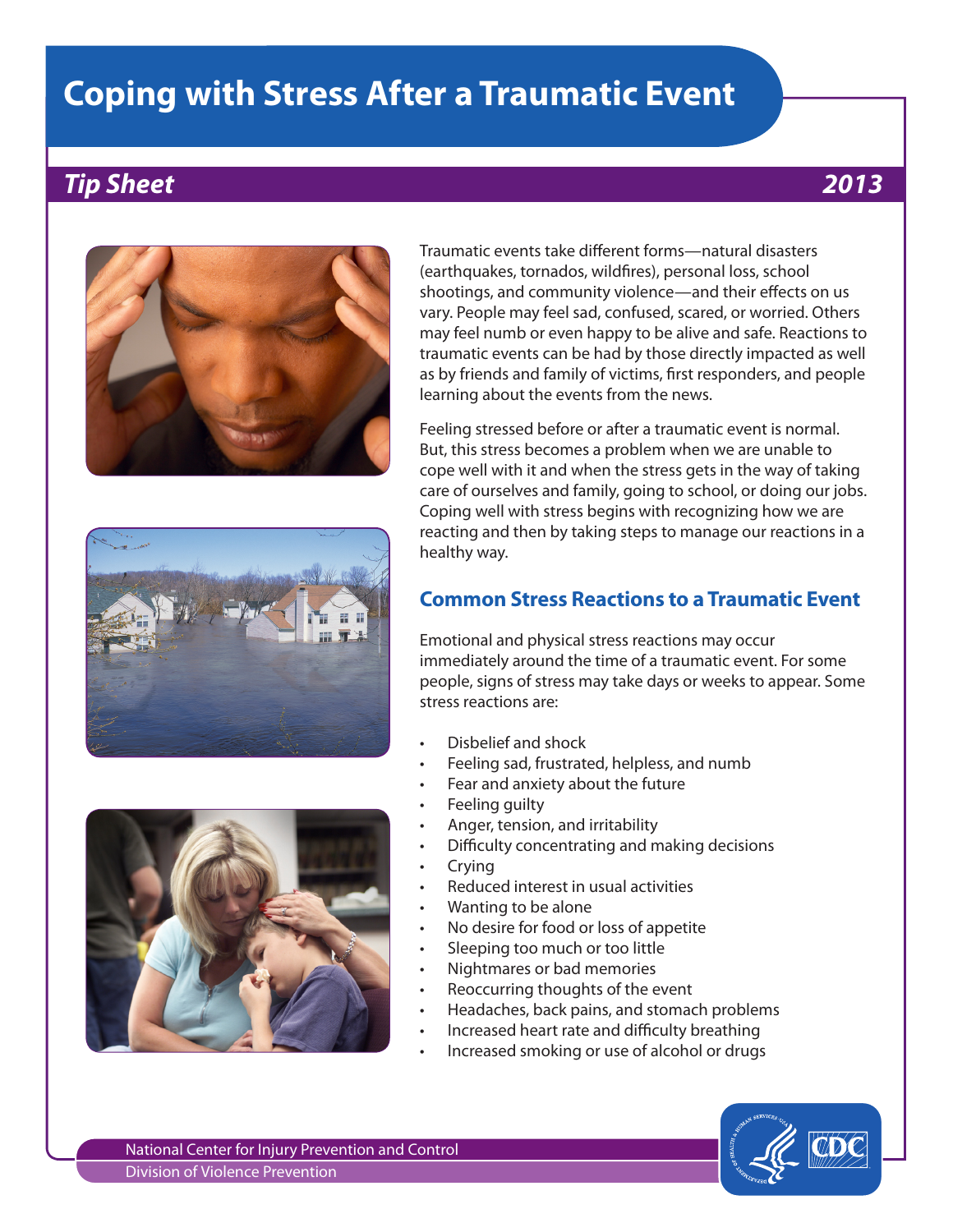# **Coping with Stress After a Traumatic Event**

## *Tip Sheet 2013*







Traumatic events take different forms—natural disasters (earthquakes, tornados, wildfires), personal loss, school shootings, and community violence—and their effects on us vary. People may feel sad, confused, scared, or worried. Others may feel numb or even happy to be alive and safe. Reactions to traumatic events can be had by those directly impacted as well as by friends and family of victims, first responders, and people learning about the events from the news.

Feeling stressed before or after a traumatic event is normal. But, this stress becomes a problem when we are unable to cope well with it and when the stress gets in the way of taking care of ourselves and family, going to school, or doing our jobs. Coping well with stress begins with recognizing how we are reacting and then by taking steps to manage our reactions in a healthy way.

#### **Common Stress Reactions to a Traumatic Event**

Emotional and physical stress reactions may occur immediately around the time of a traumatic event. For some people, signs of stress may take days or weeks to appear. Some stress reactions are:

- Disbelief and shock
- Feeling sad, frustrated, helpless, and numb
- Fear and anxiety about the future
- Feeling quilty
- Anger, tension, and irritability
- Difficulty concentrating and making decisions
- **Crying**
- Reduced interest in usual activities
- Wanting to be alone
- No desire for food or loss of appetite
- Sleeping too much or too little
- Nightmares or bad memories
- Reoccurring thoughts of the event
- Headaches, back pains, and stomach problems
- Increased heart rate and difficulty breathing
- Increased smoking or use of alcohol or drugs



National Center for Injury Prevention and Control Division of Violence Prevention